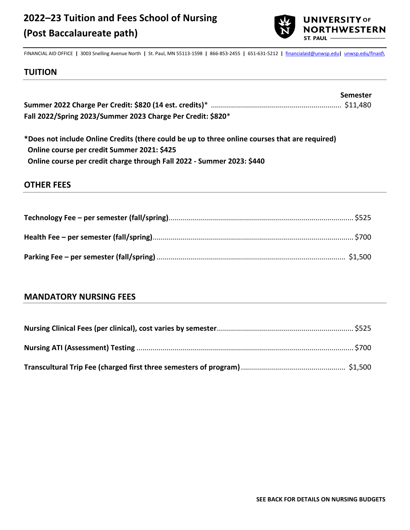

FINANCIAL AID OFFICE **|** 3003 Snelling Avenue North **|** St. Paul, MN 55113-1598 **|** 866-853-2455 **|** 651-631-5212 **|** [financialaid@unwsp.edu](mailto:financialaid@unwsp.edu)**|** [unwsp.edu/finaid\](http://unwsp.edu/finaid) **Tr**

#### **TUITION**

|                                                             | <b>Semester</b> |
|-------------------------------------------------------------|-----------------|
|                                                             |                 |
| Fall 2022/Spring 2023/Summer 2023 Charge Per Credit: \$820* |                 |

**\*Does not include Online Credits (there could be up to three online courses that are required) Online course per credit Summer 2021: \$425 Online course per credit charge through Fall 2022 - Summer 2023: \$440** 

### **OTHER FEES**

### **MANDATORY NURSING FEES**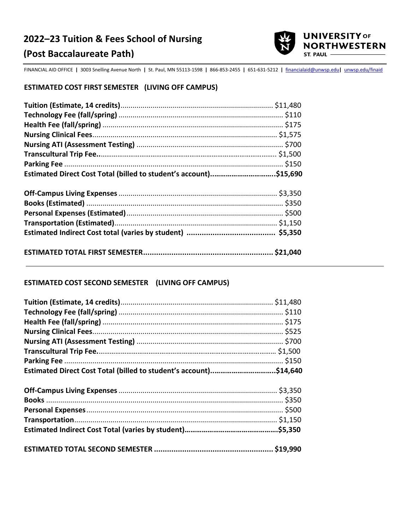# **2022–23 Tuition & Fees School of Nursing (Post Baccalaureate Path)**



FINANCIAL AID OFFICE **|** 3003 Snelling Avenue North **|** St. Paul, MN 55113-1598 **|** 866-853-2455 **|** 651-631-5212 **|** [financialaid@unwsp.edu](mailto:financialaid@unwsp.edu)**|** [unwsp.edu/finaid](http://unwsp.edu/finaid)

#### **ESTIMATED COST FIRST SEMESTER (LIVING OFF CAMPUS)**

| Estimated Direct Cost Total (billed to student's account)\$15,690 |  |
|-------------------------------------------------------------------|--|
|                                                                   |  |
|                                                                   |  |
|                                                                   |  |
|                                                                   |  |
|                                                                   |  |
|                                                                   |  |
|                                                                   |  |
|                                                                   |  |

### **ESTIMATED COST SECOND SEMESTER (LIVING OFF CAMPUS)**

| Estimated Direct Cost Total (billed to student's account)\$14,640 |  |
|-------------------------------------------------------------------|--|
|                                                                   |  |
|                                                                   |  |
|                                                                   |  |
|                                                                   |  |
|                                                                   |  |
|                                                                   |  |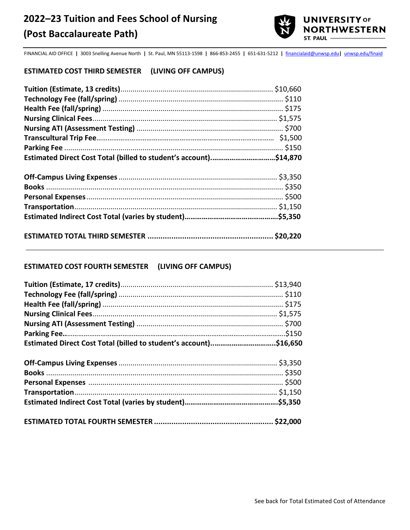

FINANCIAL AID OFFICE **|** 3003 Snelling Avenue North **|** St. Paul, MN 55113-1598 **|** 866-853-2455 **|** 651-631-5212 **|** [financialaid@unwsp.edu](mailto:financialaid@unwsp.edu)**|** [unwsp.edu/finaid](http://unwsp.edu/finaid) 

#### **ESTIMATED COST THIRD SEMESTER (LIVING OFF CAMPUS)**

| Estimated Direct Cost Total (billed to student's account)\$14,870 |  |
|-------------------------------------------------------------------|--|
|                                                                   |  |
|                                                                   |  |
|                                                                   |  |

#### **ESTIMATED COST FOURTH SEMESTER (LIVING OFF CAMPUS)**

| Estimated Direct Cost Total (billed to student's account)\$16,650 |  |
|-------------------------------------------------------------------|--|
|                                                                   |  |
|                                                                   |  |
|                                                                   |  |
|                                                                   |  |
|                                                                   |  |
|                                                                   |  |
|                                                                   |  |
|                                                                   |  |